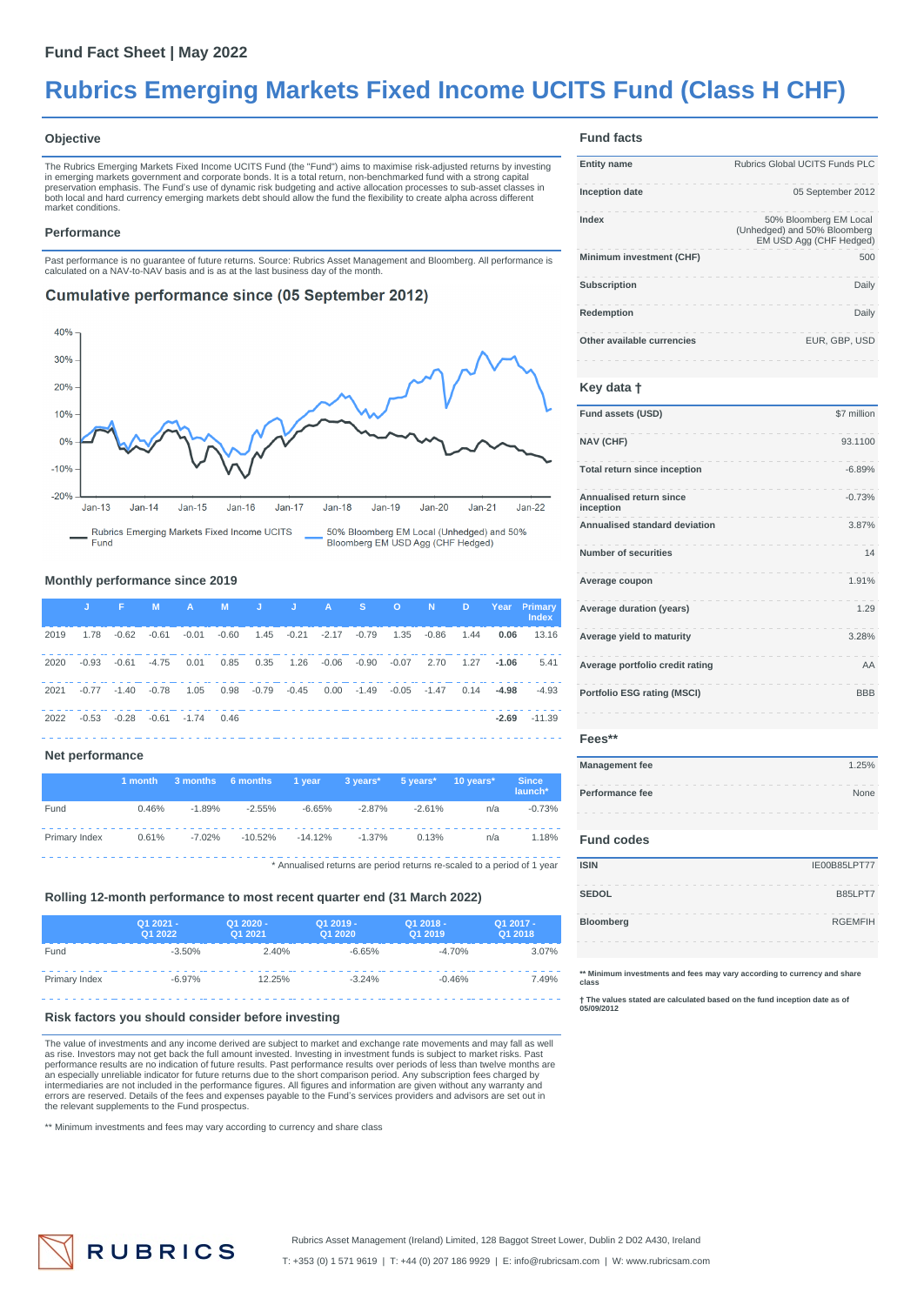# **Rubrics Emerging Markets Fixed Income UCITS Fund (Class H CHF)**

#### **Objective**

The Rubrics Emerging Markets Fixed Income UCITS Fund (the "Fund") aims to maximise risk-adjusted returns by investing in emerging markets government and corporate bonds. It is a total return, non-benchmarked fund with a strong capital<br>preservation emphasis. The Fund's use of dynamic risk budgeting and active allocation processes to sub-as both local and hard currency emerging markets debt should allow the fund the flexibility to create alpha across different market conditions.

#### **Performance**

Past performance is no guarantee of future returns. Source: Rubrics Asset Management and Bloomberg. All performance is calculated on a NAV-to-NAV basis and is as at the last business day of the month.

## **Cumulative performance since (05 September 2012)**



### **Monthly performance since 2019**

|      | U.      | <b>All age</b> | M       | <b>A A</b>     |         |                      | M J J A S O N D        |         |                |      | Year    | <b>Primary</b><br><b>Index</b> |
|------|---------|----------------|---------|----------------|---------|----------------------|------------------------|---------|----------------|------|---------|--------------------------------|
| 2019 | 1.78    | $-0.62$        | $-0.61$ | $-0.01$        | $-0.60$ |                      | 1.45 -0.21 -2.17 -0.79 | 1.35    | $-0.86$        | 1.44 | 0.06    | 13.16                          |
| 2020 | $-0.93$ | -0.61          | $-4.75$ | 0.01           | 0.85    | 0.35                 | $1.26 -0.06 -0.90$     | $-0.07$ | 2.70           | 1.27 | $-1.06$ | 5.41                           |
| 2021 | $-0.77$ | $-1.40$        | $-0.78$ | 1.05           |         | $0.98 - 0.79 - 0.45$ | $0.00 - 1.49$          |         | $-0.05 - 1.47$ | 0.14 | $-4.98$ | $-4.93$                        |
| 2022 | $-0.53$ | $-0.28$        |         | $-0.61 - 1.74$ | 0.46    |                      |                        |         |                |      | $-2.69$ | $-11.39$                       |

#### **Net performance**

|                                                                         | 1 month | 3 months 6 months |           | 1 vear    | 3 vears* | 5 vears* | $10$ years $^*$ | <b>Since</b><br>launch* |
|-------------------------------------------------------------------------|---------|-------------------|-----------|-----------|----------|----------|-----------------|-------------------------|
| Fund                                                                    | 0.46%   | $-1.89%$          | $-2.55%$  | $-6.65%$  | $-2.87%$ | $-2.61%$ | n/a             | $-0.73%$                |
| Primary Index                                                           | 0.61%   | $-7.02%$          | $-10.52%$ | $-14.12%$ | $-1.37%$ | 0.13%    | n/a             | 1.18%                   |
| * Annualised returns are period returns re-scaled to a period of 1 year |         |                   |           |           |          |          |                 |                         |

## **Rolling 12-month performance to most recent quarter end (31 March 2022)**

|               | Q1 2021 -<br>Q1 2022 | Q1 2020 -<br>Q1 2021 | Q1 2019 -<br>Q1 2020 | Q1 2018 -<br>Q1 2019 | Q1 2017 -<br>Q1 2018 |
|---------------|----------------------|----------------------|----------------------|----------------------|----------------------|
| Fund          | $-3.50%$             | 2.40%                | $-6.65%$             | $-4.70%$             | 3.07%                |
| Primary Index | $-6.97%$             | 12.25%               | $-3.24%$             | $-0.46%$             | 7.49%                |
|               |                      |                      |                      |                      |                      |

#### **Risk factors you should consider before investing**

The value of investments and any income derived are subject to market and exchange rate movements and may fall as well as rise. Investors may not get back the full amount invested. Investing in investment funds is subject to market risks. Past<br>performance results are no indication of future results. Past performance results over periods of intermediaries are not included in the performance figures. All figures and information are given without any warranty and<br>errors are reserved. Details of the fees and expenses payable to the Fund's services providers and the relevant supplements to the Fund prospectus.

\*\* Minimum investments and fees may vary according to currency and share class

## **Fund facts**

| <b>Entity name</b>         | Rubrics Global UCITS Funds PLC                                                    |
|----------------------------|-----------------------------------------------------------------------------------|
| <b>Inception date</b>      | 05 September 2012                                                                 |
| Index                      | 50% Bloomberg EM Local<br>(Unhedged) and 50% Bloomberg<br>EM USD Agg (CHF Hedged) |
| Minimum investment (CHF)   | 500                                                                               |
| <b>Subscription</b>        | Daily                                                                             |
| Redemption                 | Daily                                                                             |
| Other available currencies | EUR. GBP. USD                                                                     |

#### **Key data †**

| Fund assets (USD)                    | \$7 million |
|--------------------------------------|-------------|
| <b>NAV (CHF)</b>                     | 93.1100     |
| Total return since inception         | $-6.89%$    |
| Annualised return since<br>inception | $-0.73%$    |
| Annualised standard deviation        | 3.87%       |
| <b>Number of securities</b>          | 14          |
| Average coupon                       | 1.91%       |
| Average duration (years)             | 1.29        |
| Average yield to maturity            | 3.28%       |
| Average portfolio credit rating      | AA          |
| <b>Portfolio ESG rating (MSCI)</b>   | <b>BBB</b>  |

#### **Fees\*\***

| <b>Management fee</b> | 1.25% |
|-----------------------|-------|
| Performance fee       | None  |
|                       |       |

#### **Fund codes**

| <b>ISIN</b>  | IE00B85LPT77   |
|--------------|----------------|
| <b>SEDOL</b> | B85LPT7        |
| Bloomberg    | <b>RGEMFIH</b> |
|              |                |

**\*\* Minimum investments and fees may vary according to currency and share class**

**† The values stated are calculated based on the fund inception date as of 05/09/2012**



T: +353 (0) 1 571 9619 | T: +44 (0) 207 186 9929 | E: info@rubricsam.com | W: www.rubricsam.com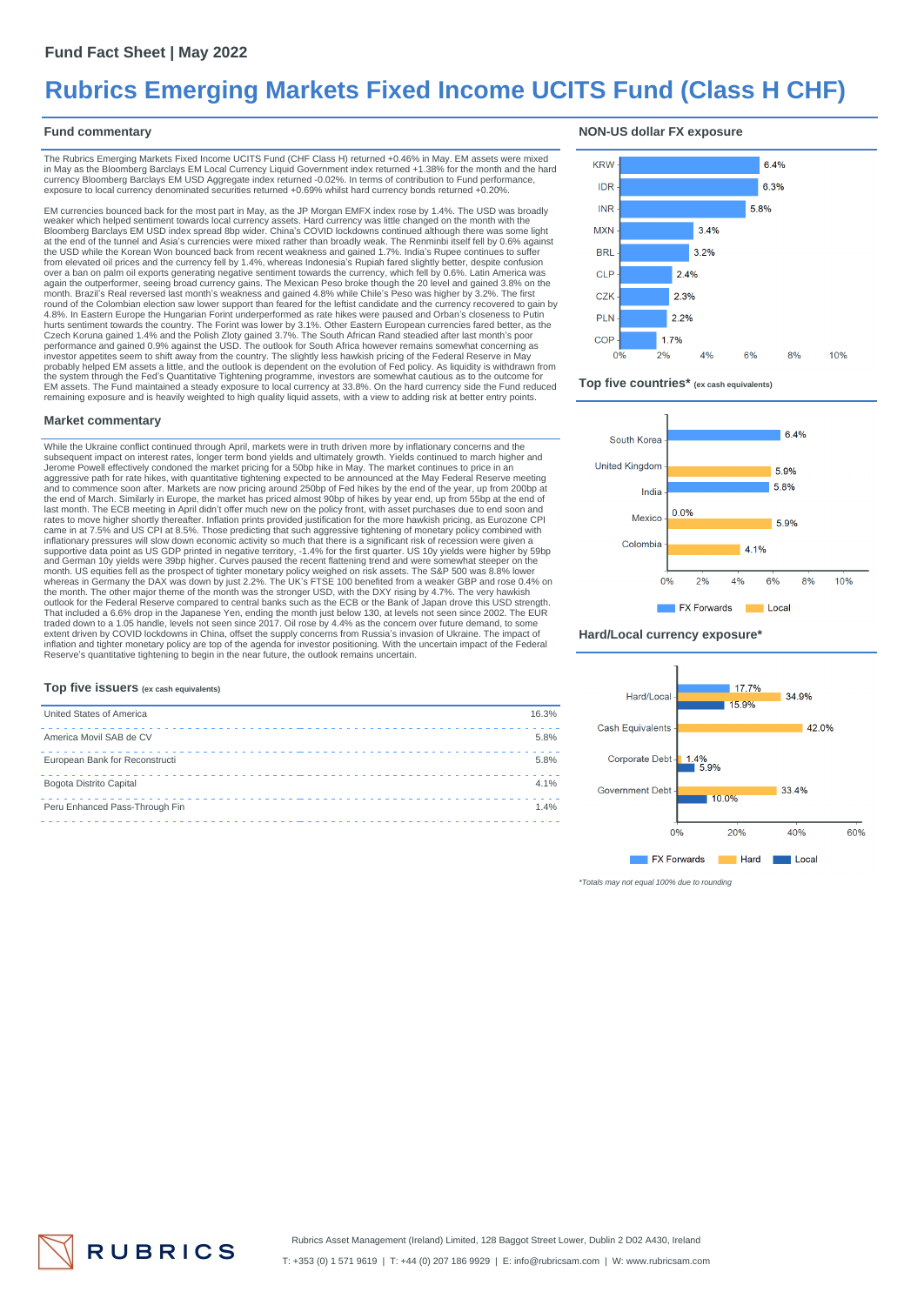## **Rubrics Emerging Markets Fixed Income UCITS Fund (Class H CHF)**

### **Fund commentary**

The Rubrics Emerging Markets Fixed Income UCITS Fund (CHF Class H) returned +0.46% in May. EM assets were mixed<br>in May as the Bloomberg Barclays EM Local Currency Liquid Government index returned +1.38% for the month and t exposure to local currency denominated securities returned +0.69% whilst hard currency bonds returned +0.20%.

EM currencies bounced back for the most part in May, as the JP Morgan EMFX index rose by 1.4%. The USD was broadly weaker which helped sentiment towards local currency assets. Hard currency was little changed on the month with the<br>Bloomberg Barclays EM USD index spread 8bp wider. China's COVID lockdowns continued although there was som at the end of the tunnel and Asia's currencies were mixed rather than broadly weak. The Renminbi itself fell by 0.6% against<br>the USD while the Korean Won bounced back from recent weakness and gained 1.7%. India's Rupee con from elevated oil prices and the currency fell by 1.4%, whereas Indonesia's Rupiah fared slightly better, despite confusion<br>over a ban on palm oil exports generating negative sentiment towards the currency, which fell by 0 month. Brazil's Real reversed last month's weakness and gained 4.8% while Chile's Peso was higher by 3.2%. The first<br>round of the Colombian election saw lower support than feared for the leftist candidate and the currency 4.8%. In Eastern Europe the Hungarian Forint underperformed as rate hikes were paused and Orban's closeness to Putin<br>hurts sentiment towards the country. The Forint was lower by 3.1%. Other Eastern European currencies fare the system through the Fed's Quantitative Tightening programme, investors are somewhat cautious as to the outcome for<br>EM assets. The Fund maintained a steady exposure to local currency at 33.8%. On the hard currency side t remaining exposure and is heavily weighted to high quality liquid assets, with a view to adding risk at better entry points.

#### **Market commentary**

While the Ukraine conflict continued through April, markets were in truth driven more by inflationary concerns and the subsequent impact on interest rates, longer term bond yields and ultimately growth. Yields continued to march higher and<br>Jerome Powell effectively condoned the market pricing for a 50bp hike in May. The market continues to the end of March. Similarly in Europe, the market has priced almost 90bp of hikes by year end, up from 55bp at the end of<br>last month. The ECB meeting in April didn't offer much new on the policy front, with asset purchases rates to move higher shortly thereafter. Inflation prints provided justification for the more hawkish pricing, as Eurozone CPI<br>came in at 7.5% and US CPI at 8.5%. Those predicting that such aggressive tightening of monetar supportive data point as US GDP printed in negative territory, -1.4% for the first quarter. US 10y yields were higher by 59bp<br>and German 10y yields were 39bp higher. Curves paused the recent flattening trend and were somew month. US equities fell as the prospect of tighter monetary policy weighed on risk assets. The S&P 500 was 8.8% lower<br>whereas in Germany the DAX was down by just 2.2%. The UK's FTSE 100 benefited from a weaker GBP and rose outlook for the Federal Reserve compared to central banks such as the ECB or the Bank of Japan drove this USD strength.<br>That included a 6.6% drop in the Japanese Yen, ending the month just below 130, at levels not seen sin extent driven by COVID lockdowns in China, offset the supply concerns from Russia's invasion of Ukraine. The impact of<br>inflation and tighter monetary policy are top of the agenda for investor positioning. With the uncertai Reserve's quantitative tightening to begin in the near future, the outlook remains uncertain.

#### **NON-US dollar FX exposure**







#### **Hard/Local currency exposure\***



\*Totals may not equal 100% due to rounding

#### **Top five issuers (ex cash equivalents)**

| United States of America       | 16.3% |
|--------------------------------|-------|
| America Movil SAB de CV        | 5.8%  |
| European Bank for Reconstructi | 5.8%  |
| Bogota Distrito Capital        | 4.1%  |
| Peru Enhanced Pass-Through Fin | 1.4%  |
|                                |       |

**RUBRICS**